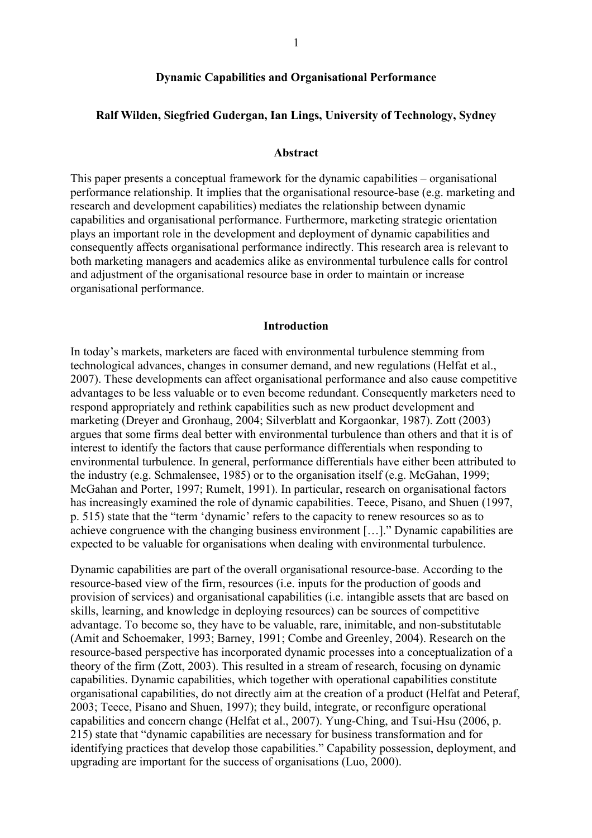## **Dynamic Capabilities and Organisational Performance**

### **Ralf Wilden, Siegfried Gudergan, Ian Lings, University of Technology, Sydney**

#### **Abstract**

This paper presents a conceptual framework for the dynamic capabilities – organisational performance relationship. It implies that the organisational resource-base (e.g. marketing and research and development capabilities) mediates the relationship between dynamic capabilities and organisational performance. Furthermore, marketing strategic orientation plays an important role in the development and deployment of dynamic capabilities and consequently affects organisational performance indirectly. This research area is relevant to both marketing managers and academics alike as environmental turbulence calls for control and adjustment of the organisational resource base in order to maintain or increase organisational performance.

#### **Introduction**

In today's markets, marketers are faced with environmental turbulence stemming from technological advances, changes in consumer demand, and new regulations (Helfat et al., 2007). These developments can affect organisational performance and also cause competitive advantages to be less valuable or to even become redundant. Consequently marketers need to respond appropriately and rethink capabilities such as new product development and marketing (Dreyer and Gronhaug, 2004; Silverblatt and Korgaonkar, 1987). Zott (2003) argues that some firms deal better with environmental turbulence than others and that it is of interest to identify the factors that cause performance differentials when responding to environmental turbulence. In general, performance differentials have either been attributed to the industry (e.g. Schmalensee, 1985) or to the organisation itself (e.g. McGahan, 1999; McGahan and Porter, 1997; Rumelt, 1991). In particular, research on organisational factors has increasingly examined the role of dynamic capabilities. Teece, Pisano, and Shuen (1997, p. 515) state that the "term 'dynamic' refers to the capacity to renew resources so as to achieve congruence with the changing business environment […]." Dynamic capabilities are expected to be valuable for organisations when dealing with environmental turbulence.

Dynamic capabilities are part of the overall organisational resource-base. According to the resource-based view of the firm, resources (i.e. inputs for the production of goods and provision of services) and organisational capabilities (i.e. intangible assets that are based on skills, learning, and knowledge in deploying resources) can be sources of competitive advantage. To become so, they have to be valuable, rare, inimitable, and non-substitutable (Amit and Schoemaker, 1993; Barney, 1991; Combe and Greenley, 2004). Research on the resource-based perspective has incorporated dynamic processes into a conceptualization of a theory of the firm (Zott, 2003). This resulted in a stream of research, focusing on dynamic capabilities. Dynamic capabilities, which together with operational capabilities constitute organisational capabilities, do not directly aim at the creation of a product (Helfat and Peteraf, 2003; Teece, Pisano and Shuen, 1997); they build, integrate, or reconfigure operational capabilities and concern change (Helfat et al., 2007). Yung-Ching, and Tsui-Hsu (2006, p. 215) state that "dynamic capabilities are necessary for business transformation and for identifying practices that develop those capabilities." Capability possession, deployment, and upgrading are important for the success of organisations (Luo, 2000).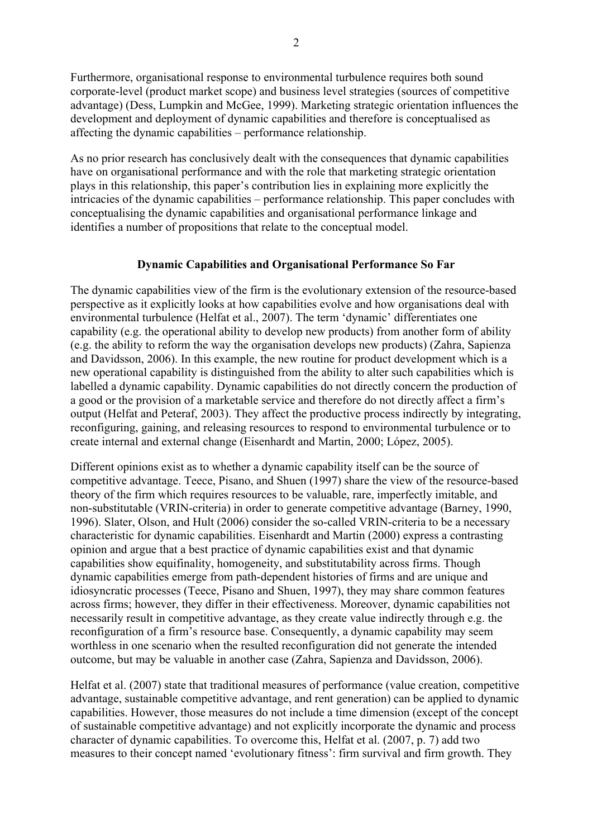Furthermore, organisational response to environmental turbulence requires both sound corporate-level (product market scope) and business level strategies (sources of competitive advantage) (Dess, Lumpkin and McGee, 1999). Marketing strategic orientation influences the development and deployment of dynamic capabilities and therefore is conceptualised as affecting the dynamic capabilities – performance relationship.

As no prior research has conclusively dealt with the consequences that dynamic capabilities have on organisational performance and with the role that marketing strategic orientation plays in this relationship, this paper's contribution lies in explaining more explicitly the intricacies of the dynamic capabilities – performance relationship. This paper concludes with conceptualising the dynamic capabilities and organisational performance linkage and identifies a number of propositions that relate to the conceptual model.

# **Dynamic Capabilities and Organisational Performance So Far**

The dynamic capabilities view of the firm is the evolutionary extension of the resource-based perspective as it explicitly looks at how capabilities evolve and how organisations deal with environmental turbulence (Helfat et al., 2007). The term 'dynamic' differentiates one capability (e.g. the operational ability to develop new products) from another form of ability (e.g. the ability to reform the way the organisation develops new products) (Zahra, Sapienza and Davidsson, 2006). In this example, the new routine for product development which is a new operational capability is distinguished from the ability to alter such capabilities which is labelled a dynamic capability. Dynamic capabilities do not directly concern the production of a good or the provision of a marketable service and therefore do not directly affect a firm's output (Helfat and Peteraf, 2003). They affect the productive process indirectly by integrating, reconfiguring, gaining, and releasing resources to respond to environmental turbulence or to create internal and external change (Eisenhardt and Martin, 2000; López, 2005).

Different opinions exist as to whether a dynamic capability itself can be the source of competitive advantage. Teece, Pisano, and Shuen (1997) share the view of the resource-based theory of the firm which requires resources to be valuable, rare, imperfectly imitable, and non-substitutable (VRIN-criteria) in order to generate competitive advantage (Barney, 1990, 1996). Slater, Olson, and Hult (2006) consider the so-called VRIN-criteria to be a necessary characteristic for dynamic capabilities. Eisenhardt and Martin (2000) express a contrasting opinion and argue that a best practice of dynamic capabilities exist and that dynamic capabilities show equifinality, homogeneity, and substitutability across firms. Though dynamic capabilities emerge from path-dependent histories of firms and are unique and idiosyncratic processes (Teece, Pisano and Shuen, 1997), they may share common features across firms; however, they differ in their effectiveness. Moreover, dynamic capabilities not necessarily result in competitive advantage, as they create value indirectly through e.g. the reconfiguration of a firm's resource base. Consequently, a dynamic capability may seem worthless in one scenario when the resulted reconfiguration did not generate the intended outcome, but may be valuable in another case (Zahra, Sapienza and Davidsson, 2006).

Helfat et al. (2007) state that traditional measures of performance (value creation, competitive advantage, sustainable competitive advantage, and rent generation) can be applied to dynamic capabilities. However, those measures do not include a time dimension (except of the concept of sustainable competitive advantage) and not explicitly incorporate the dynamic and process character of dynamic capabilities. To overcome this, Helfat et al. (2007, p. 7) add two measures to their concept named 'evolutionary fitness': firm survival and firm growth. They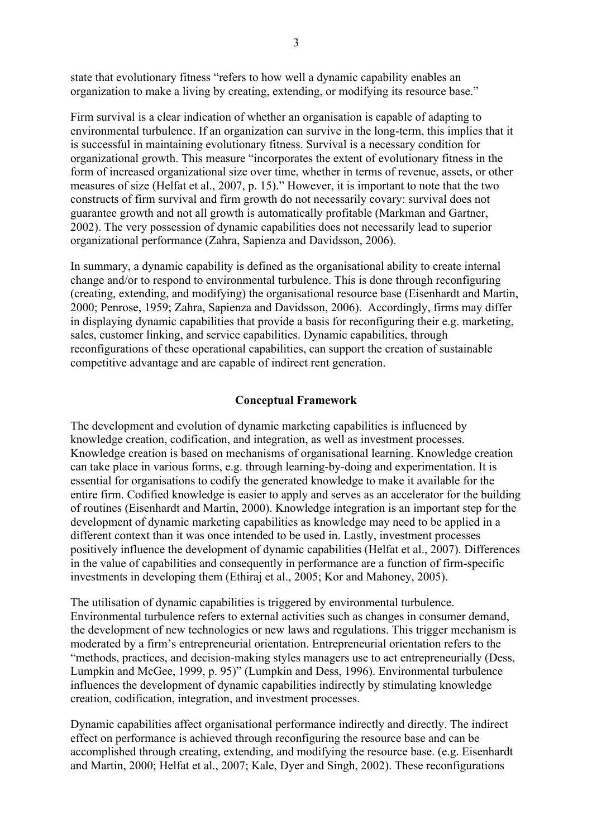state that evolutionary fitness "refers to how well a dynamic capability enables an organization to make a living by creating, extending, or modifying its resource base."

Firm survival is a clear indication of whether an organisation is capable of adapting to environmental turbulence. If an organization can survive in the long-term, this implies that it is successful in maintaining evolutionary fitness. Survival is a necessary condition for organizational growth. This measure "incorporates the extent of evolutionary fitness in the form of increased organizational size over time, whether in terms of revenue, assets, or other measures of size (Helfat et al., 2007, p. 15)." However, it is important to note that the two constructs of firm survival and firm growth do not necessarily covary: survival does not guarantee growth and not all growth is automatically profitable (Markman and Gartner, 2002). The very possession of dynamic capabilities does not necessarily lead to superior organizational performance (Zahra, Sapienza and Davidsson, 2006).

In summary, a dynamic capability is defined as the organisational ability to create internal change and/or to respond to environmental turbulence. This is done through reconfiguring (creating, extending, and modifying) the organisational resource base (Eisenhardt and Martin, 2000; Penrose, 1959; Zahra, Sapienza and Davidsson, 2006). Accordingly, firms may differ in displaying dynamic capabilities that provide a basis for reconfiguring their e.g. marketing, sales, customer linking, and service capabilities. Dynamic capabilities, through reconfigurations of these operational capabilities, can support the creation of sustainable competitive advantage and are capable of indirect rent generation.

# **Conceptual Framework**

The development and evolution of dynamic marketing capabilities is influenced by knowledge creation, codification, and integration, as well as investment processes. Knowledge creation is based on mechanisms of organisational learning. Knowledge creation can take place in various forms, e.g. through learning-by-doing and experimentation. It is essential for organisations to codify the generated knowledge to make it available for the entire firm. Codified knowledge is easier to apply and serves as an accelerator for the building of routines (Eisenhardt and Martin, 2000). Knowledge integration is an important step for the development of dynamic marketing capabilities as knowledge may need to be applied in a different context than it was once intended to be used in. Lastly, investment processes positively influence the development of dynamic capabilities (Helfat et al., 2007). Differences in the value of capabilities and consequently in performance are a function of firm-specific investments in developing them (Ethiraj et al., 2005; Kor and Mahoney, 2005).

The utilisation of dynamic capabilities is triggered by environmental turbulence. Environmental turbulence refers to external activities such as changes in consumer demand, the development of new technologies or new laws and regulations. This trigger mechanism is moderated by a firm's entrepreneurial orientation. Entrepreneurial orientation refers to the "methods, practices, and decision-making styles managers use to act entrepreneurially (Dess, Lumpkin and McGee, 1999, p. 95)" (Lumpkin and Dess, 1996). Environmental turbulence influences the development of dynamic capabilities indirectly by stimulating knowledge creation, codification, integration, and investment processes.

Dynamic capabilities affect organisational performance indirectly and directly. The indirect effect on performance is achieved through reconfiguring the resource base and can be accomplished through creating, extending, and modifying the resource base. (e.g. Eisenhardt and Martin, 2000; Helfat et al., 2007; Kale, Dyer and Singh, 2002). These reconfigurations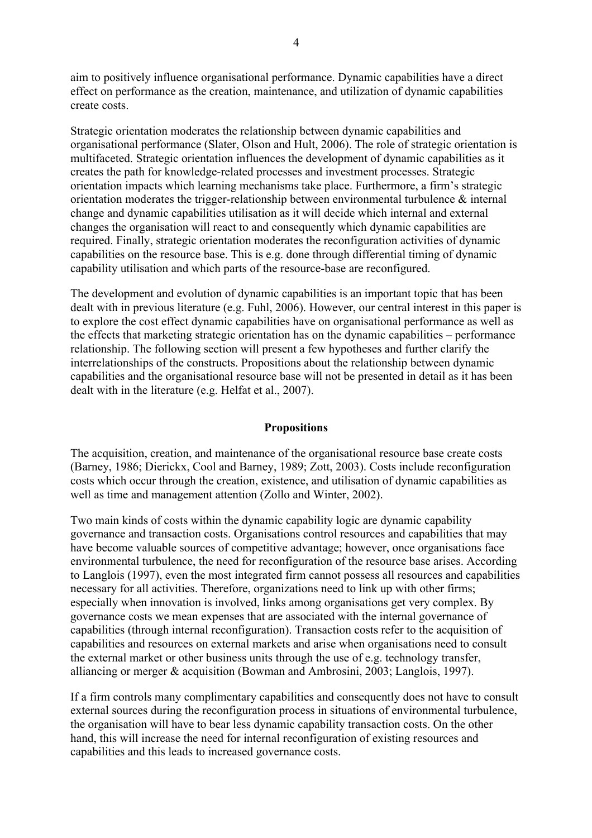aim to positively influence organisational performance. Dynamic capabilities have a direct effect on performance as the creation, maintenance, and utilization of dynamic capabilities create costs.

Strategic orientation moderates the relationship between dynamic capabilities and organisational performance (Slater, Olson and Hult, 2006). The role of strategic orientation is multifaceted. Strategic orientation influences the development of dynamic capabilities as it creates the path for knowledge-related processes and investment processes. Strategic orientation impacts which learning mechanisms take place. Furthermore, a firm's strategic orientation moderates the trigger-relationship between environmental turbulence & internal change and dynamic capabilities utilisation as it will decide which internal and external changes the organisation will react to and consequently which dynamic capabilities are required. Finally, strategic orientation moderates the reconfiguration activities of dynamic capabilities on the resource base. This is e.g. done through differential timing of dynamic capability utilisation and which parts of the resource-base are reconfigured.

The development and evolution of dynamic capabilities is an important topic that has been dealt with in previous literature (e.g. Fuhl, 2006). However, our central interest in this paper is to explore the cost effect dynamic capabilities have on organisational performance as well as the effects that marketing strategic orientation has on the dynamic capabilities – performance relationship. The following section will present a few hypotheses and further clarify the interrelationships of the constructs. Propositions about the relationship between dynamic capabilities and the organisational resource base will not be presented in detail as it has been dealt with in the literature (e.g. Helfat et al., 2007).

## **Propositions**

The acquisition, creation, and maintenance of the organisational resource base create costs (Barney, 1986; Dierickx, Cool and Barney, 1989; Zott, 2003). Costs include reconfiguration costs which occur through the creation, existence, and utilisation of dynamic capabilities as well as time and management attention (Zollo and Winter, 2002).

Two main kinds of costs within the dynamic capability logic are dynamic capability governance and transaction costs. Organisations control resources and capabilities that may have become valuable sources of competitive advantage; however, once organisations face environmental turbulence, the need for reconfiguration of the resource base arises. According to Langlois (1997), even the most integrated firm cannot possess all resources and capabilities necessary for all activities. Therefore, organizations need to link up with other firms; especially when innovation is involved, links among organisations get very complex. By governance costs we mean expenses that are associated with the internal governance of capabilities (through internal reconfiguration). Transaction costs refer to the acquisition of capabilities and resources on external markets and arise when organisations need to consult the external market or other business units through the use of e.g. technology transfer, alliancing or merger & acquisition (Bowman and Ambrosini, 2003; Langlois, 1997).

If a firm controls many complimentary capabilities and consequently does not have to consult external sources during the reconfiguration process in situations of environmental turbulence, the organisation will have to bear less dynamic capability transaction costs. On the other hand, this will increase the need for internal reconfiguration of existing resources and capabilities and this leads to increased governance costs.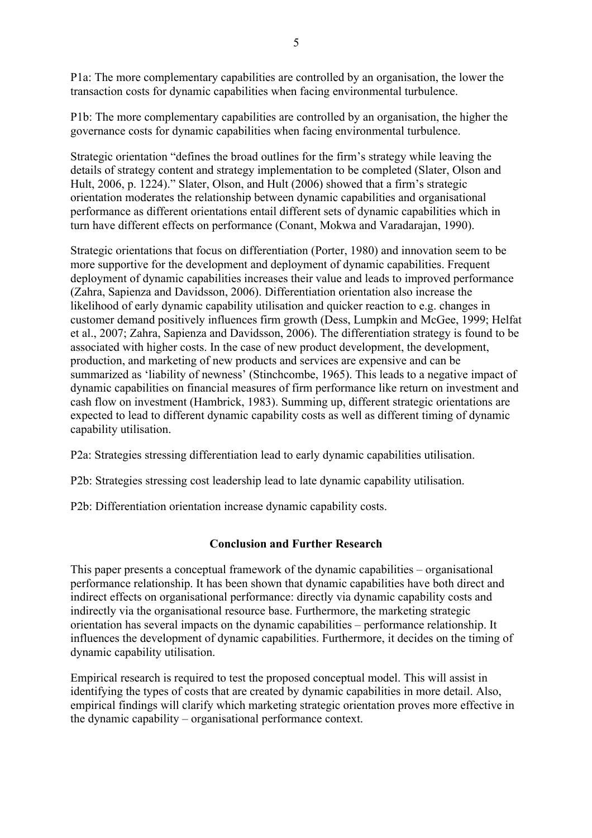P1a: The more complementary capabilities are controlled by an organisation, the lower the transaction costs for dynamic capabilities when facing environmental turbulence.

P1b: The more complementary capabilities are controlled by an organisation, the higher the governance costs for dynamic capabilities when facing environmental turbulence.

Strategic orientation "defines the broad outlines for the firm's strategy while leaving the details of strategy content and strategy implementation to be completed (Slater, Olson and Hult, 2006, p. 1224)." Slater, Olson, and Hult (2006) showed that a firm's strategic orientation moderates the relationship between dynamic capabilities and organisational performance as different orientations entail different sets of dynamic capabilities which in turn have different effects on performance (Conant, Mokwa and Varadarajan, 1990).

Strategic orientations that focus on differentiation (Porter, 1980) and innovation seem to be more supportive for the development and deployment of dynamic capabilities. Frequent deployment of dynamic capabilities increases their value and leads to improved performance (Zahra, Sapienza and Davidsson, 2006). Differentiation orientation also increase the likelihood of early dynamic capability utilisation and quicker reaction to e.g. changes in customer demand positively influences firm growth (Dess, Lumpkin and McGee, 1999; Helfat et al., 2007; Zahra, Sapienza and Davidsson, 2006). The differentiation strategy is found to be associated with higher costs. In the case of new product development, the development, production, and marketing of new products and services are expensive and can be summarized as 'liability of newness' (Stinchcombe, 1965). This leads to a negative impact of dynamic capabilities on financial measures of firm performance like return on investment and cash flow on investment (Hambrick, 1983). Summing up, different strategic orientations are expected to lead to different dynamic capability costs as well as different timing of dynamic capability utilisation.

P2a: Strategies stressing differentiation lead to early dynamic capabilities utilisation.

P2b: Strategies stressing cost leadership lead to late dynamic capability utilisation.

P2b: Differentiation orientation increase dynamic capability costs.

## **Conclusion and Further Research**

This paper presents a conceptual framework of the dynamic capabilities – organisational performance relationship. It has been shown that dynamic capabilities have both direct and indirect effects on organisational performance: directly via dynamic capability costs and indirectly via the organisational resource base. Furthermore, the marketing strategic orientation has several impacts on the dynamic capabilities – performance relationship. It influences the development of dynamic capabilities. Furthermore, it decides on the timing of dynamic capability utilisation.

Empirical research is required to test the proposed conceptual model. This will assist in identifying the types of costs that are created by dynamic capabilities in more detail. Also, empirical findings will clarify which marketing strategic orientation proves more effective in the dynamic capability – organisational performance context.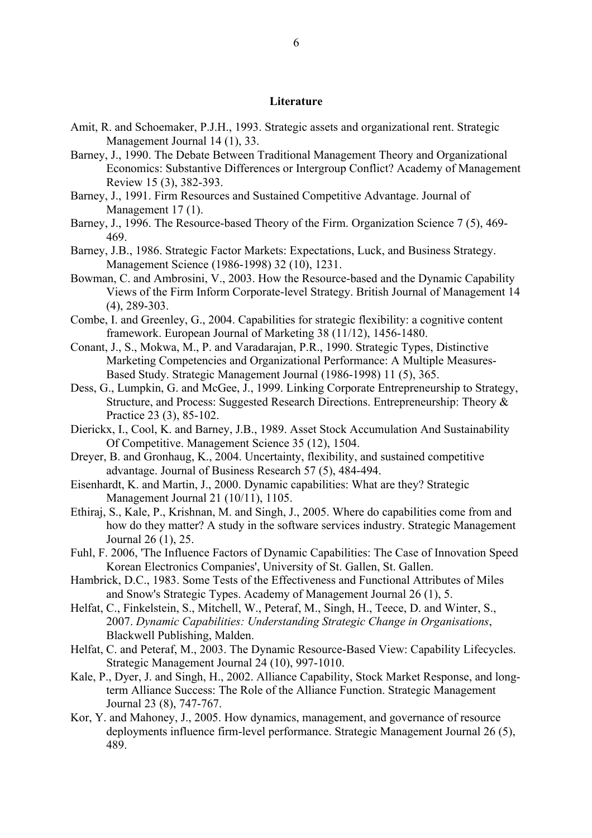### **Literature**

- Amit, R. and Schoemaker, P.J.H., 1993. Strategic assets and organizational rent. Strategic Management Journal 14 (1), 33.
- Barney, J., 1990. The Debate Between Traditional Management Theory and Organizational Economics: Substantive Differences or Intergroup Conflict? Academy of Management Review 15 (3), 382-393.
- Barney, J., 1991. Firm Resources and Sustained Competitive Advantage. Journal of Management 17(1).
- Barney, J., 1996. The Resource-based Theory of the Firm. Organization Science 7 (5), 469- 469.
- Barney, J.B., 1986. Strategic Factor Markets: Expectations, Luck, and Business Strategy. Management Science (1986-1998) 32 (10), 1231.
- Bowman, C. and Ambrosini, V., 2003. How the Resource-based and the Dynamic Capability Views of the Firm Inform Corporate-level Strategy. British Journal of Management 14 (4), 289-303.
- Combe, I. and Greenley, G., 2004. Capabilities for strategic flexibility: a cognitive content framework. European Journal of Marketing 38 (11/12), 1456-1480.
- Conant, J., S., Mokwa, M., P. and Varadarajan, P.R., 1990. Strategic Types, Distinctive Marketing Competencies and Organizational Performance: A Multiple Measures-Based Study. Strategic Management Journal (1986-1998) 11 (5), 365.
- Dess, G., Lumpkin, G. and McGee, J., 1999. Linking Corporate Entrepreneurship to Strategy, Structure, and Process: Suggested Research Directions. Entrepreneurship: Theory & Practice 23 (3), 85-102.
- Dierickx, I., Cool, K. and Barney, J.B., 1989. Asset Stock Accumulation And Sustainability Of Competitive. Management Science 35 (12), 1504.
- Dreyer, B. and Gronhaug, K., 2004. Uncertainty, flexibility, and sustained competitive advantage. Journal of Business Research 57 (5), 484-494.
- Eisenhardt, K. and Martin, J., 2000. Dynamic capabilities: What are they? Strategic Management Journal 21 (10/11), 1105.
- Ethiraj, S., Kale, P., Krishnan, M. and Singh, J., 2005. Where do capabilities come from and how do they matter? A study in the software services industry. Strategic Management Journal 26 (1), 25.
- Fuhl, F. 2006, 'The Influence Factors of Dynamic Capabilities: The Case of Innovation Speed Korean Electronics Companies', University of St. Gallen, St. Gallen.
- Hambrick, D.C., 1983. Some Tests of the Effectiveness and Functional Attributes of Miles and Snow's Strategic Types. Academy of Management Journal 26 (1), 5.
- Helfat, C., Finkelstein, S., Mitchell, W., Peteraf, M., Singh, H., Teece, D. and Winter, S., 2007. *Dynamic Capabilities: Understanding Strategic Change in Organisations*, Blackwell Publishing, Malden.
- Helfat, C. and Peteraf, M., 2003. The Dynamic Resource-Based View: Capability Lifecycles. Strategic Management Journal 24 (10), 997-1010.
- Kale, P., Dyer, J. and Singh, H., 2002. Alliance Capability, Stock Market Response, and longterm Alliance Success: The Role of the Alliance Function. Strategic Management Journal 23 (8), 747-767.
- Kor, Y. and Mahoney, J., 2005. How dynamics, management, and governance of resource deployments influence firm-level performance. Strategic Management Journal 26 (5), 489.